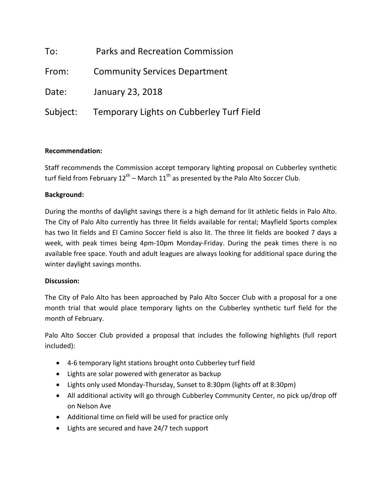| To:      | <b>Parks and Recreation Commission</b>   |
|----------|------------------------------------------|
| From:    | <b>Community Services Department</b>     |
| Date:    | January 23, 2018                         |
| Subject: | Temporary Lights on Cubberley Turf Field |

# **Recommendation:**

Staff recommends the Commission accept temporary lighting proposal on Cubberley synthetic turf field from February  $12^{th}$  – March  $11^{th}$  as presented by the Palo Alto Soccer Club.

# **Background:**

During the months of daylight savings there is a high demand for lit athletic fields in Palo Alto. The City of Palo Alto currently has three lit fields available for rental; Mayfield Sports complex has two lit fields and El Camino Soccer field is also lit. The three lit fields are booked 7 days a week, with peak times being 4pm-10pm Monday-Friday. During the peak times there is no available free space. Youth and adult leagues are always looking for additional space during the winter daylight savings months.

### **Discussion:**

The City of Palo Alto has been approached by Palo Alto Soccer Club with a proposal for a one month trial that would place temporary lights on the Cubberley synthetic turf field for the month of February.

Palo Alto Soccer Club provided a proposal that includes the following highlights (full report included):

- 4-6 temporary light stations brought onto Cubberley turf field
- Lights are solar powered with generator as backup
- Lights only used Monday-Thursday, Sunset to 8:30pm (lights off at 8:30pm)
- All additional activity will go through Cubberley Community Center, no pick up/drop off on Nelson Ave
- Additional time on field will be used for practice only
- Lights are secured and have 24/7 tech support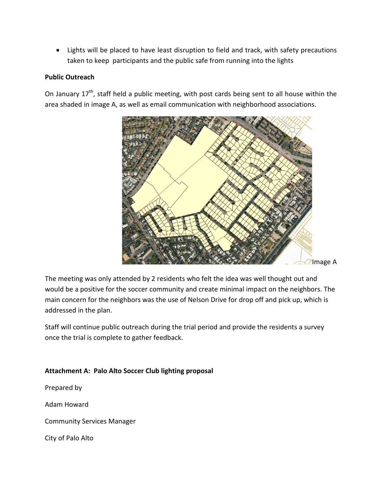• Lights will be placed to have least disruption to field and track, with safety precautions taken to keep participants and the public safe from running into the lights

# **Public Outreach**

On January  $17<sup>th</sup>$ , staff held a public meeting, with post cards being sent to all house within the area shaded in image A, as well as email communication with neighborhood associations.



The meeting was only attended by 2 residents who felt the idea was well thought out and would be a positive for the soccer community and create minimal impact on the neighbors. The main concern for the neighbors was the use of Nelson Drive for drop off and pick up, which is addressed in the plan.

Staff will continue public outreach during the trial period and provide the residents a survey once the trial is complete to gather feedback.

# **Attachment A: Palo Alto Soccer Club lighting proposal**

Prepared by

Adam Howard

Community Services Manager

City of Palo Alto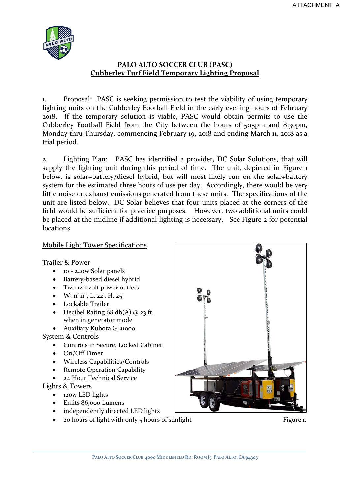

# **PALO ALTO SOCCER CLUB (PASC) Cubberley Turf Field Temporary Lighting Proposal**

1. Proposal: PASC is seeking permission to test the viability of using temporary lighting units on the Cubberley Football Field in the early evening hours of February 2018. If the temporary solution is viable, PASC would obtain permits to use the Cubberley Football Field from the City between the hours of 5:15pm and 8:30pm, Monday thru Thursday, commencing February 19, 2018 and ending March 11, 2018 as a trial period.

2. Lighting Plan: PASC has identified a provider, DC Solar Solutions, that will supply the lighting unit during this period of time. The unit, depicted in Figure 1 below, is solar+battery/diesel hybrid, but will most likely run on the solar+battery system for the estimated three hours of use per day. Accordingly, there would be very little noise or exhaust emissions generated from these units. The specifications of the unit are listed below. DC Solar believes that four units placed at the corners of the field would be sufficient for practice purposes. However, two additional units could be placed at the midline if additional lighting is necessary. See Figure 2 for potential locations.

### Mobile Light Tower Specifications

Trailer & Power

- 10 240w Solar panels
- Battery-based diesel hybrid
- Two 120-volt power outlets
- W.  $\mathbf{u}'$   $\mathbf{u}''$ , L. 22', H. 25'
- Lockable Trailer
- Decibel Rating  $68$  db(A)  $@$  23 ft. when in generator mode
- Auxiliary Kubota GL11000

System & Controls

- Controls in Secure, Locked Cabinet
- On/Off Timer
- Wireless Capabilities/Controls
- Remote Operation Capability
- 24 Hour Technical Service

Lights & Towers

- 120w LED lights
- Emits 86,000 Lumens
- independently directed LED lights
- $\frac{1}{20}$  hours of light with only  $\frac{1}{2}$  hours of sunlight Figure 1.

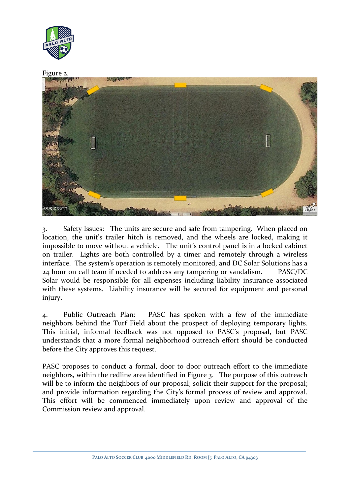

# Figure 2. **The Card**

3. Safety Issues: The units are secure and safe from tampering. When placed on location, the unit's trailer hitch is removed, and the wheels are locked, making it impossible to move without a vehicle. The unit's control panel is in a locked cabinet on trailer. Lights are both controlled by a timer and remotely through a wireless interface. The system's operation is remotely monitored, and DC Solar Solutions has a 24 hour on call team if needed to address any tampering or vandalism. PASC/DC Solar would be responsible for all expenses including liability insurance associated with these systems. Liability insurance will be secured for equipment and personal injury.

4. Public Outreach Plan: PASC has spoken with a few of the immediate neighbors behind the Turf Field about the prospect of deploying temporary lights. This initial, informal feedback was not opposed to PASC's proposal, but PASC understands that a more formal neighborhood outreach effort should be conducted before the City approves this request.

PASC proposes to conduct a formal, door to door outreach effort to the immediate neighbors, within the redline area identified in Figure 3. The purpose of this outreach will be to inform the neighbors of our proposal; solicit their support for the proposal; and provide information regarding the City's formal process of review and approval. This effort will be commenced immediately upon review and approval of the Commission review and approval.